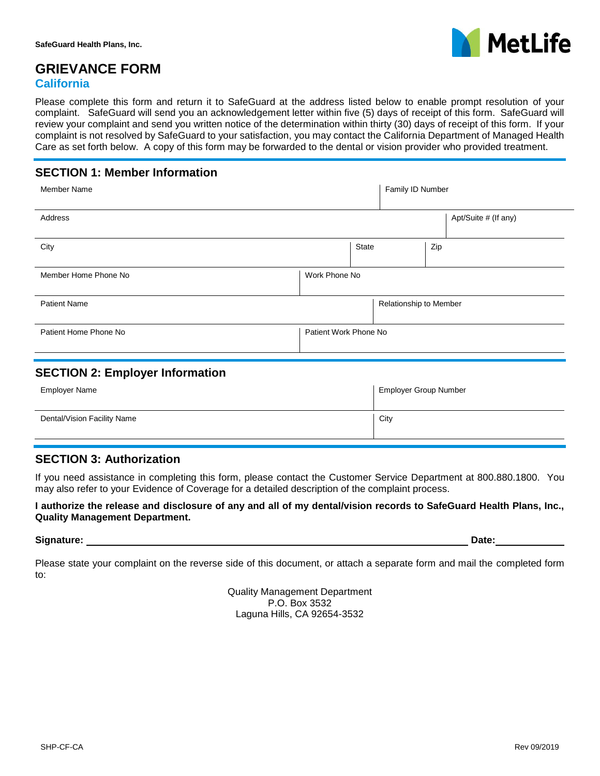

# **GRIEVANCE FORM**

#### **California**

Please complete this form and return it to SafeGuard at the address listed below to enable prompt resolution of your complaint. SafeGuard will send you an acknowledgement letter within five (5) days of receipt of this form. SafeGuard will review your complaint and send you written notice of the determination within thirty (30) days of receipt of this form. If your complaint is not resolved by SafeGuard to your satisfaction, you may contact the California Department of Managed Health Care as set forth below. A copy of this form may be forwarded to the dental or vision provider who provided treatment.

### **SECTION 1: Member Information**

| <b>Member Name</b>    |                       | Family ID Number       |     |                      |
|-----------------------|-----------------------|------------------------|-----|----------------------|
| Address               |                       |                        |     | Apt/Suite # (If any) |
| City                  | State                 |                        | Zip |                      |
| Member Home Phone No  | Work Phone No         |                        |     |                      |
| <b>Patient Name</b>   |                       | Relationship to Member |     |                      |
| Patient Home Phone No | Patient Work Phone No |                        |     |                      |

#### **SECTION 2: Employer Information**

| Employer Name               | <b>Employer Group Number</b> |
|-----------------------------|------------------------------|
| Dental/Vision Facility Name | City                         |

### **SECTION 3: Authorization**

If you need assistance in completing this form, please contact the Customer Service Department at 800.880.1800. You may also refer to your Evidence of Coverage for a detailed description of the complaint process.

**I authorize the release and disclosure of any and all of my dental/vision records to SafeGuard Health Plans, Inc., Quality Management Department.** 

#### **Signature: Date:**

Please state your complaint on the reverse side of this document, or attach a separate form and mail the completed form to:

> Quality Management Department P.O. Box 3532 Laguna Hills, CA 92654-3532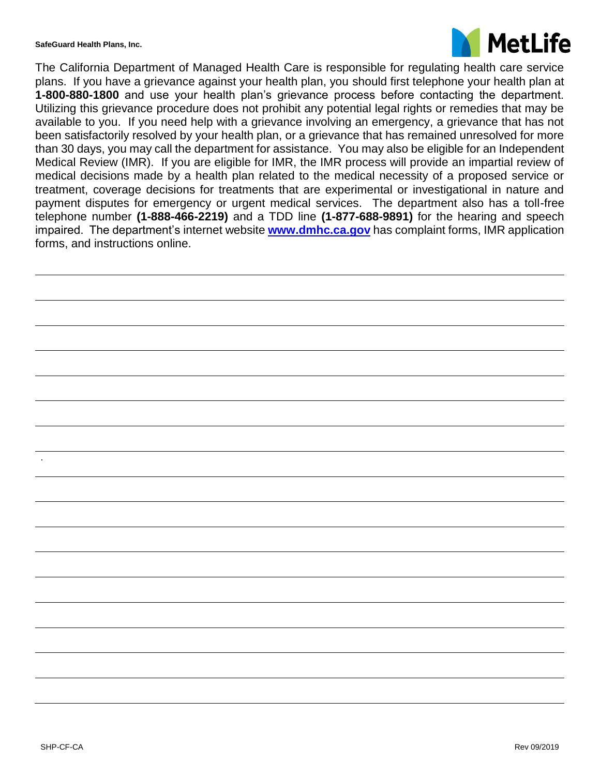**SafeGuard Health Plans, Inc.**



The California Department of Managed Health Care is responsible for regulating health care service plans. If you have a grievance against your health plan, you should first telephone your health plan at **1-800-880-1800** and use your health plan's grievance process before contacting the department. Utilizing this grievance procedure does not prohibit any potential legal rights or remedies that may be available to you. If you need help with a grievance involving an emergency, a grievance that has not been satisfactorily resolved by your health plan, or a grievance that has remained unresolved for more than 30 days, you may call the department for assistance. You may also be eligible for an Independent Medical Review (IMR). If you are eligible for IMR, the IMR process will provide an impartial review of medical decisions made by a health plan related to the medical necessity of a proposed service or treatment, coverage decisions for treatments that are experimental or investigational in nature and payment disputes for emergency or urgent medical services. The department also has a toll-free telephone number **(1-888-466-2219)** and a TDD line **(1-877-688-9891)** for the hearing and speech impaired. The department's internet website **[www.dmhc.ca.gov](http://www.dmhc.ca.gov/)** has complaint forms, IMR application forms, and instructions online.

.